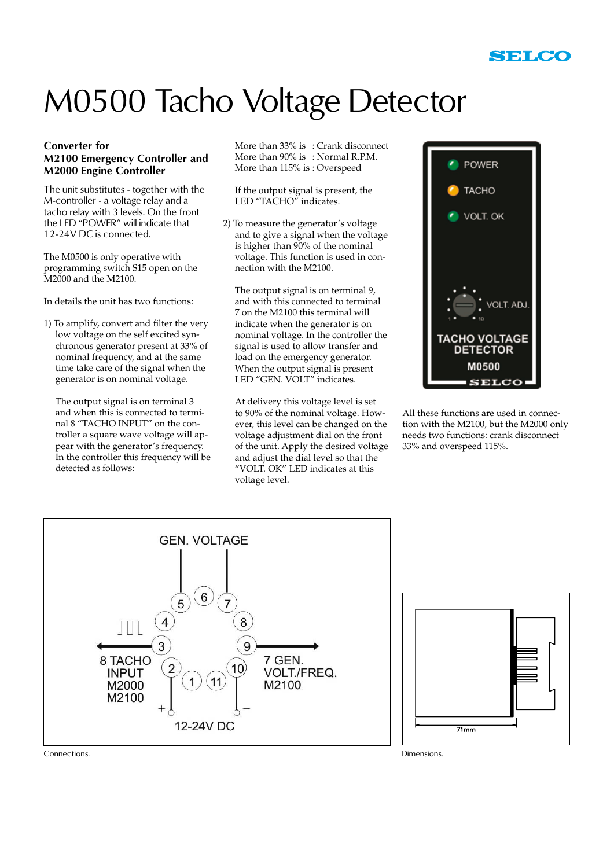

## M0500 Tacho Voltage Detector

#### **Converter for M2100 Emergency Controller and M2000 Engine Controller**

The unit substitutes - together with the M-controller - a voltage relay and a tacho relay with 3 levels. On the front the LED "POWER" will indicate that 12-24V DC is connected.

The M0500 is only operative with programming switch S15 open on the M2000 and the M2100.

In details the unit has two functions:

1) To amplify, convert and filter the very low voltage on the self excited synchronous generator present at 33% of nominal frequency, and at the same time take care of the signal when the generator is on nominal voltage.

The output signal is on terminal 3 and when this is connected to terminal 8 "TACHO INPUT" on the controller a square wave voltage will appear with the generator's frequency. In the controller this frequency will be detected as follows:

More than 33% is : Crank disconnect More than 90% is : Normal R.P.M. More than 115% is : Overspeed

If the output signal is present, the LED "TACHO" indicates.

2) To measure the generator's voltage and to give a signal when the voltage is higher than 90% of the nominal voltage. This function is used in connection with the M2100.

The output signal is on terminal 9, and with this connected to terminal 7 on the M2100 this terminal will indicate when the generator is on nominal voltage. In the controller the signal is used to allow transfer and load on the emergency generator. When the output signal is present LED "GEN. VOLT" indicates.

At delivery this voltage level is set to 90% of the nominal voltage. However, this level can be changed on the voltage adjustment dial on the front of the unit. Apply the desired voltage and adjust the dial level so that the "VOLT. OK" LED indicates at this voltage level.



All these functions are used in connection with the M2100, but the M2000 only needs two functions: crank disconnect 33% and overspeed 115%.





Connections. Dimensions.